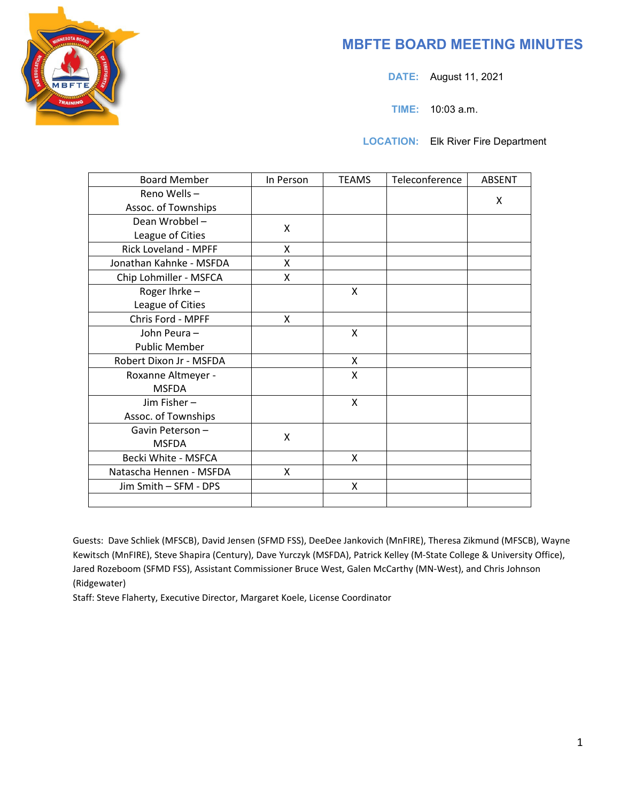

# **MBFTE BOARD MEETING MINUTES**

**DATE:** August 11, 2021

**TIME:** 10:03 a.m.

**LOCATION:** Elk River Fire Department

| <b>Board Member</b>     | In Person | <b>TEAMS</b> | Teleconference | <b>ABSENT</b> |
|-------------------------|-----------|--------------|----------------|---------------|
| Reno Wells-             |           |              |                | X             |
| Assoc. of Townships     |           |              |                |               |
| Dean Wrobbel-           | X         |              |                |               |
| League of Cities        |           |              |                |               |
| Rick Loveland - MPFF    | X         |              |                |               |
| Jonathan Kahnke - MSFDA | X         |              |                |               |
| Chip Lohmiller - MSFCA  | X.        |              |                |               |
| Roger Ihrke-            |           | X            |                |               |
| League of Cities        |           |              |                |               |
| Chris Ford - MPFF       | X         |              |                |               |
| John Peura -            |           | X            |                |               |
| <b>Public Member</b>    |           |              |                |               |
| Robert Dixon Jr - MSFDA |           | X            |                |               |
| Roxanne Altmeyer -      |           | $\mathsf{x}$ |                |               |
| <b>MSFDA</b>            |           |              |                |               |
| Jim Fisher-             |           | X            |                |               |
| Assoc. of Townships     |           |              |                |               |
| Gavin Peterson-         | X         |              |                |               |
| <b>MSFDA</b>            |           |              |                |               |
| Becki White - MSFCA     |           | X            |                |               |
| Natascha Hennen - MSFDA | X         |              |                |               |
| Jim Smith - SFM - DPS   |           | X            |                |               |
|                         |           |              |                |               |

Guests: Dave Schliek (MFSCB), David Jensen (SFMD FSS), DeeDee Jankovich (MnFIRE), Theresa Zikmund (MFSCB), Wayne Kewitsch (MnFIRE), Steve Shapira (Century), Dave Yurczyk (MSFDA), Patrick Kelley (M-State College & University Office), Jared Rozeboom (SFMD FSS), Assistant Commissioner Bruce West, Galen McCarthy (MN-West), and Chris Johnson (Ridgewater)

Staff: Steve Flaherty, Executive Director, Margaret Koele, License Coordinator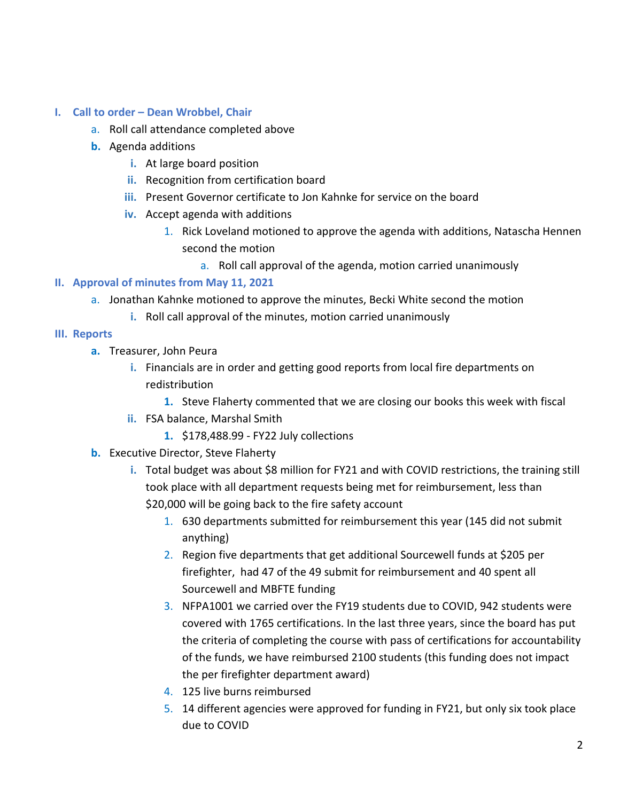## **I. Call to order – Dean Wrobbel, Chair**

- a. Roll call attendance completed above
- **b.** Agenda additions
	- **i.** At large board position
	- **ii.** Recognition from certification board
	- **iii.** Present Governor certificate to Jon Kahnke for service on the board
	- **iv.** Accept agenda with additions
		- 1. Rick Loveland motioned to approve the agenda with additions, Natascha Hennen second the motion
			- a. Roll call approval of the agenda, motion carried unanimously

## **II. Approval of minutes from May 11, 2021**

- a. Jonathan Kahnke motioned to approve the minutes, Becki White second the motion
	- **i.** Roll call approval of the minutes, motion carried unanimously

#### **III. Reports**

- **a.** Treasurer, John Peura
	- **i.** Financials are in order and getting good reports from local fire departments on redistribution
		- **1.** Steve Flaherty commented that we are closing our books this week with fiscal
	- **ii.** FSA balance, Marshal Smith
		- **1.** \$178,488.99 FY22 July collections
- **b.** Executive Director, Steve Flaherty
	- **i.** Total budget was about \$8 million for FY21 and with COVID restrictions, the training still took place with all department requests being met for reimbursement, less than \$20,000 will be going back to the fire safety account
		- 1. 630 departments submitted for reimbursement this year (145 did not submit anything)
		- 2. Region five departments that get additional Sourcewell funds at \$205 per firefighter, had 47 of the 49 submit for reimbursement and 40 spent all Sourcewell and MBFTE funding
		- 3. NFPA1001 we carried over the FY19 students due to COVID, 942 students were covered with 1765 certifications. In the last three years, since the board has put the criteria of completing the course with pass of certifications for accountability of the funds, we have reimbursed 2100 students (this funding does not impact the per firefighter department award)
		- 4. 125 live burns reimbursed
		- 5. 14 different agencies were approved for funding in FY21, but only six took place due to COVID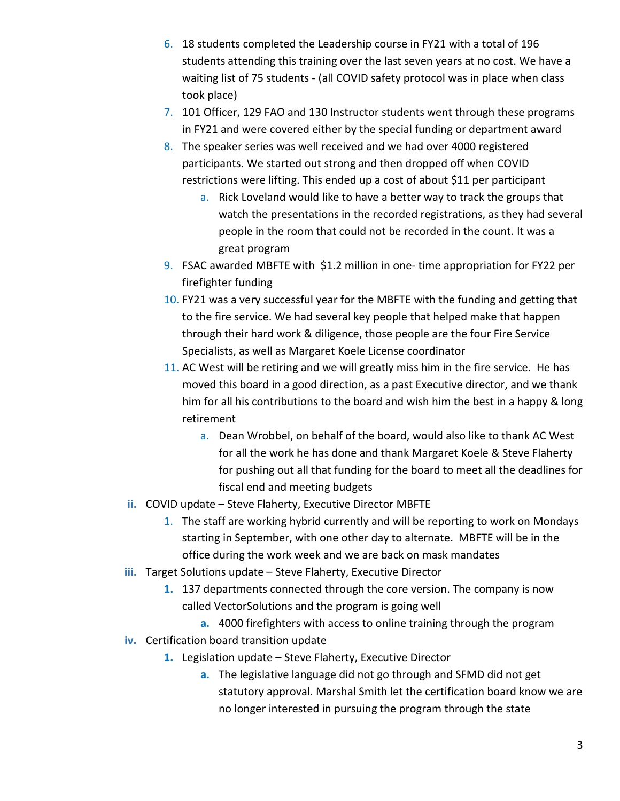- 6. 18 students completed the Leadership course in FY21 with a total of 196 students attending this training over the last seven years at no cost. We have a waiting list of 75 students - (all COVID safety protocol was in place when class took place)
- 7. 101 Officer, 129 FAO and 130 Instructor students went through these programs in FY21 and were covered either by the special funding or department award
- 8. The speaker series was well received and we had over 4000 registered participants. We started out strong and then dropped off when COVID restrictions were lifting. This ended up a cost of about \$11 per participant
	- a. Rick Loveland would like to have a better way to track the groups that watch the presentations in the recorded registrations, as they had several people in the room that could not be recorded in the count. It was a great program
- 9. FSAC awarded MBFTE with \$1.2 million in one- time appropriation for FY22 per firefighter funding
- 10. FY21 was a very successful year for the MBFTE with the funding and getting that to the fire service. We had several key people that helped make that happen through their hard work & diligence, those people are the four Fire Service Specialists, as well as Margaret Koele License coordinator
- 11. AC West will be retiring and we will greatly miss him in the fire service. He has moved this board in a good direction, as a past Executive director, and we thank him for all his contributions to the board and wish him the best in a happy & long retirement
	- a. Dean Wrobbel, on behalf of the board, would also like to thank AC West for all the work he has done and thank Margaret Koele & Steve Flaherty for pushing out all that funding for the board to meet all the deadlines for fiscal end and meeting budgets
- **ii.** COVID update Steve Flaherty, Executive Director MBFTE
	- 1. The staff are working hybrid currently and will be reporting to work on Mondays starting in September, with one other day to alternate. MBFTE will be in the office during the work week and we are back on mask mandates
- **iii.** Target Solutions update Steve Flaherty, Executive Director
	- **1.** 137 departments connected through the core version. The company is now called VectorSolutions and the program is going well
		- **a.** 4000 firefighters with access to online training through the program
- **iv.** Certification board transition update
	- **1.** Legislation update Steve Flaherty, Executive Director
		- **a.** The legislative language did not go through and SFMD did not get statutory approval. Marshal Smith let the certification board know we are no longer interested in pursuing the program through the state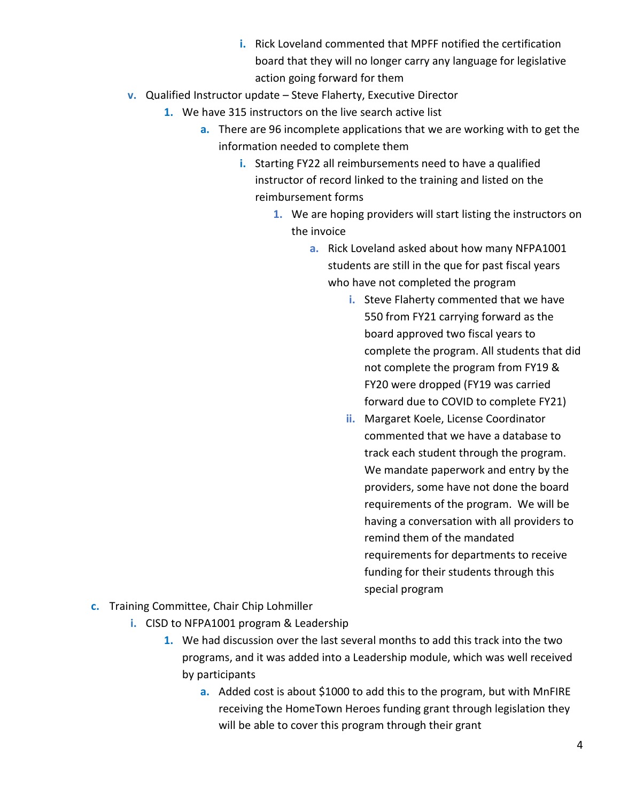- **i.** Rick Loveland commented that MPFF notified the certification board that they will no longer carry any language for legislative action going forward for them
- **v.** Qualified Instructor update Steve Flaherty, Executive Director
	- **1.** We have 315 instructors on the live search active list
		- **a.** There are 96 incomplete applications that we are working with to get the information needed to complete them
			- **i.** Starting FY22 all reimbursements need to have a qualified instructor of record linked to the training and listed on the reimbursement forms
				- **1.** We are hoping providers will start listing the instructors on the invoice
					- **a.** Rick Loveland asked about how many NFPA1001 students are still in the que for past fiscal years who have not completed the program
						- **i.** Steve Flaherty commented that we have 550 from FY21 carrying forward as the board approved two fiscal years to complete the program. All students that did not complete the program from FY19 & FY20 were dropped (FY19 was carried forward due to COVID to complete FY21)
						- **ii.** Margaret Koele, License Coordinator commented that we have a database to track each student through the program. We mandate paperwork and entry by the providers, some have not done the board requirements of the program. We will be having a conversation with all providers to remind them of the mandated requirements for departments to receive funding for their students through this special program
- **c.** Training Committee, Chair Chip Lohmiller
	- **i.** CISD to NFPA1001 program & Leadership
		- **1.** We had discussion over the last several months to add this track into the two programs, and it was added into a Leadership module, which was well received by participants
			- **a.** Added cost is about \$1000 to add this to the program, but with MnFIRE receiving the HomeTown Heroes funding grant through legislation they will be able to cover this program through their grant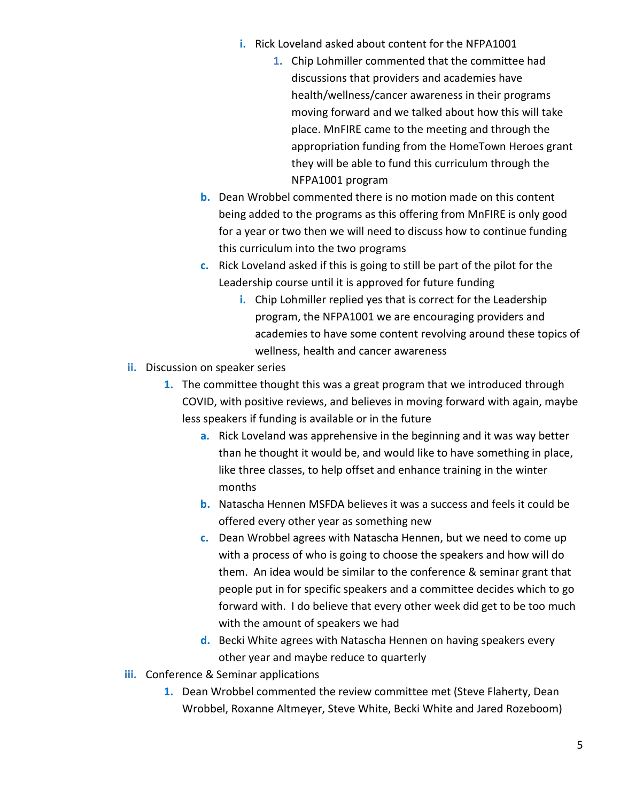- **i.** Rick Loveland asked about content for the NFPA1001
	- **1.** Chip Lohmiller commented that the committee had discussions that providers and academies have health/wellness/cancer awareness in their programs moving forward and we talked about how this will take place. MnFIRE came to the meeting and through the appropriation funding from the HomeTown Heroes grant they will be able to fund this curriculum through the NFPA1001 program
- **b.** Dean Wrobbel commented there is no motion made on this content being added to the programs as this offering from MnFIRE is only good for a year or two then we will need to discuss how to continue funding this curriculum into the two programs
- **c.** Rick Loveland asked if this is going to still be part of the pilot for the Leadership course until it is approved for future funding
	- **i.** Chip Lohmiller replied yes that is correct for the Leadership program, the NFPA1001 we are encouraging providers and academies to have some content revolving around these topics of wellness, health and cancer awareness
- **ii.** Discussion on speaker series
	- **1.** The committee thought this was a great program that we introduced through COVID, with positive reviews, and believes in moving forward with again, maybe less speakers if funding is available or in the future
		- **a.** Rick Loveland was apprehensive in the beginning and it was way better than he thought it would be, and would like to have something in place, like three classes, to help offset and enhance training in the winter months
		- **b.** Natascha Hennen MSFDA believes it was a success and feels it could be offered every other year as something new
		- **c.** Dean Wrobbel agrees with Natascha Hennen, but we need to come up with a process of who is going to choose the speakers and how will do them. An idea would be similar to the conference & seminar grant that people put in for specific speakers and a committee decides which to go forward with. I do believe that every other week did get to be too much with the amount of speakers we had
		- **d.** Becki White agrees with Natascha Hennen on having speakers every other year and maybe reduce to quarterly
- **iii.** Conference & Seminar applications
	- **1.** Dean Wrobbel commented the review committee met (Steve Flaherty, Dean Wrobbel, Roxanne Altmeyer, Steve White, Becki White and Jared Rozeboom)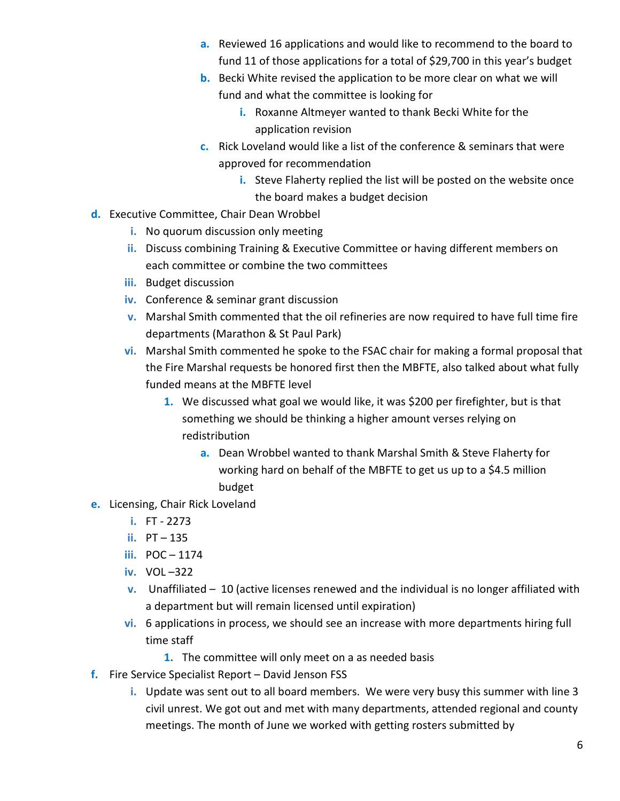- **a.** Reviewed 16 applications and would like to recommend to the board to fund 11 of those applications for a total of \$29,700 in this year's budget
- **b.** Becki White revised the application to be more clear on what we will fund and what the committee is looking for
	- **i.** Roxanne Altmeyer wanted to thank Becki White for the application revision
- **c.** Rick Loveland would like a list of the conference & seminars that were approved for recommendation
	- **i.** Steve Flaherty replied the list will be posted on the website once the board makes a budget decision
- **d.** Executive Committee, Chair Dean Wrobbel
	- **i.** No quorum discussion only meeting
	- **ii.** Discuss combining Training & Executive Committee or having different members on each committee or combine the two committees
	- **iii.** Budget discussion
	- **iv.** Conference & seminar grant discussion
	- **v.** Marshal Smith commented that the oil refineries are now required to have full time fire departments (Marathon & St Paul Park)
	- **vi.** Marshal Smith commented he spoke to the FSAC chair for making a formal proposal that the Fire Marshal requests be honored first then the MBFTE, also talked about what fully funded means at the MBFTE level
		- **1.** We discussed what goal we would like, it was \$200 per firefighter, but is that something we should be thinking a higher amount verses relying on redistribution
			- **a.** Dean Wrobbel wanted to thank Marshal Smith & Steve Flaherty for working hard on behalf of the MBFTE to get us up to a \$4.5 million budget
- **e.** Licensing, Chair Rick Loveland
	- **i.** FT 2273
	- **ii.** PT 135
	- **iii.** POC 1174
	- **iv.** VOL –322
	- **v.** Unaffiliated 10 (active licenses renewed and the individual is no longer affiliated with a department but will remain licensed until expiration)
	- **vi.** 6 applications in process, we should see an increase with more departments hiring full time staff
		- **1.** The committee will only meet on a as needed basis
- **f.** Fire Service Specialist Report David Jenson FSS
	- **i.** Update was sent out to all board members. We were very busy this summer with line 3 civil unrest. We got out and met with many departments, attended regional and county meetings. The month of June we worked with getting rosters submitted by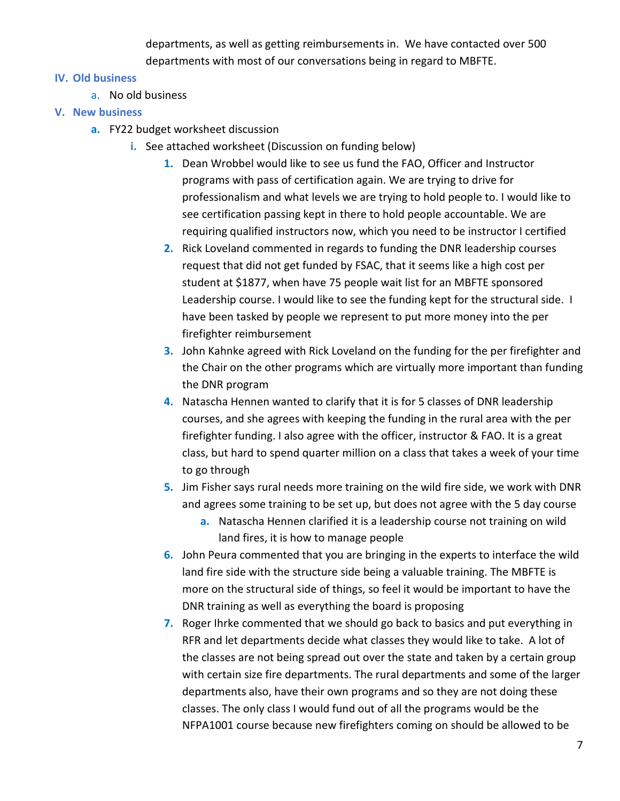departments, as well as getting reimbursements in. We have contacted over 500 departments with most of our conversations being in regard to MBFTE.

## **IV. Old business**

a. No old business

# **V. New business**

- **a.** FY22 budget worksheet discussion
	- **i.** See attached worksheet (Discussion on funding below)
		- **1.** Dean Wrobbel would like to see us fund the FAO, Officer and Instructor programs with pass of certification again. We are trying to drive for professionalism and what levels we are trying to hold people to. I would like to see certification passing kept in there to hold people accountable. We are requiring qualified instructors now, which you need to be instructor I certified
		- **2.** Rick Loveland commented in regards to funding the DNR leadership courses request that did not get funded by FSAC, that it seems like a high cost per student at \$1877, when have 75 people wait list for an MBFTE sponsored Leadership course. I would like to see the funding kept for the structural side. I have been tasked by people we represent to put more money into the per firefighter reimbursement
		- **3.** John Kahnke agreed with Rick Loveland on the funding for the per firefighter and the Chair on the other programs which are virtually more important than funding the DNR program
		- **4.** Natascha Hennen wanted to clarify that it is for 5 classes of DNR leadership courses, and she agrees with keeping the funding in the rural area with the per firefighter funding. I also agree with the officer, instructor & FAO. It is a great class, but hard to spend quarter million on a class that takes a week of your time to go through
		- **5.** Jim Fisher says rural needs more training on the wild fire side, we work with DNR and agrees some training to be set up, but does not agree with the 5 day course
			- **a.** Natascha Hennen clarified it is a leadership course not training on wild land fires, it is how to manage people
		- **6.** John Peura commented that you are bringing in the experts to interface the wild land fire side with the structure side being a valuable training. The MBFTE is more on the structural side of things, so feel it would be important to have the DNR training as well as everything the board is proposing
		- **7.** Roger Ihrke commented that we should go back to basics and put everything in RFR and let departments decide what classes they would like to take. A lot of the classes are not being spread out over the state and taken by a certain group with certain size fire departments. The rural departments and some of the larger departments also, have their own programs and so they are not doing these classes. The only class I would fund out of all the programs would be the NFPA1001 course because new firefighters coming on should be allowed to be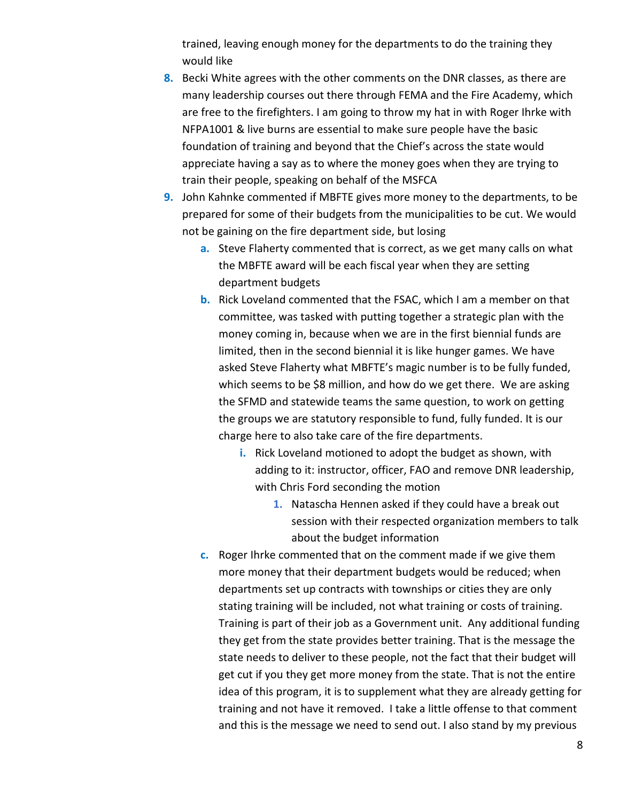trained, leaving enough money for the departments to do the training they would like

- **8.** Becki White agrees with the other comments on the DNR classes, as there are many leadership courses out there through FEMA and the Fire Academy, which are free to the firefighters. I am going to throw my hat in with Roger Ihrke with NFPA1001 & live burns are essential to make sure people have the basic foundation of training and beyond that the Chief's across the state would appreciate having a say as to where the money goes when they are trying to train their people, speaking on behalf of the MSFCA
- **9.** John Kahnke commented if MBFTE gives more money to the departments, to be prepared for some of their budgets from the municipalities to be cut. We would not be gaining on the fire department side, but losing
	- **a.** Steve Flaherty commented that is correct, as we get many calls on what the MBFTE award will be each fiscal year when they are setting department budgets
	- **b.** Rick Loveland commented that the FSAC, which I am a member on that committee, was tasked with putting together a strategic plan with the money coming in, because when we are in the first biennial funds are limited, then in the second biennial it is like hunger games. We have asked Steve Flaherty what MBFTE's magic number is to be fully funded, which seems to be \$8 million, and how do we get there. We are asking the SFMD and statewide teams the same question, to work on getting the groups we are statutory responsible to fund, fully funded. It is our charge here to also take care of the fire departments.
		- **i.** Rick Loveland motioned to adopt the budget as shown, with adding to it: instructor, officer, FAO and remove DNR leadership, with Chris Ford seconding the motion
			- **1.** Natascha Hennen asked if they could have a break out session with their respected organization members to talk about the budget information
	- **c.** Roger Ihrke commented that on the comment made if we give them more money that their department budgets would be reduced; when departments set up contracts with townships or cities they are only stating training will be included, not what training or costs of training. Training is part of their job as a Government unit. Any additional funding they get from the state provides better training. That is the message the state needs to deliver to these people, not the fact that their budget will get cut if you they get more money from the state. That is not the entire idea of this program, it is to supplement what they are already getting for training and not have it removed. I take a little offense to that comment and this is the message we need to send out. I also stand by my previous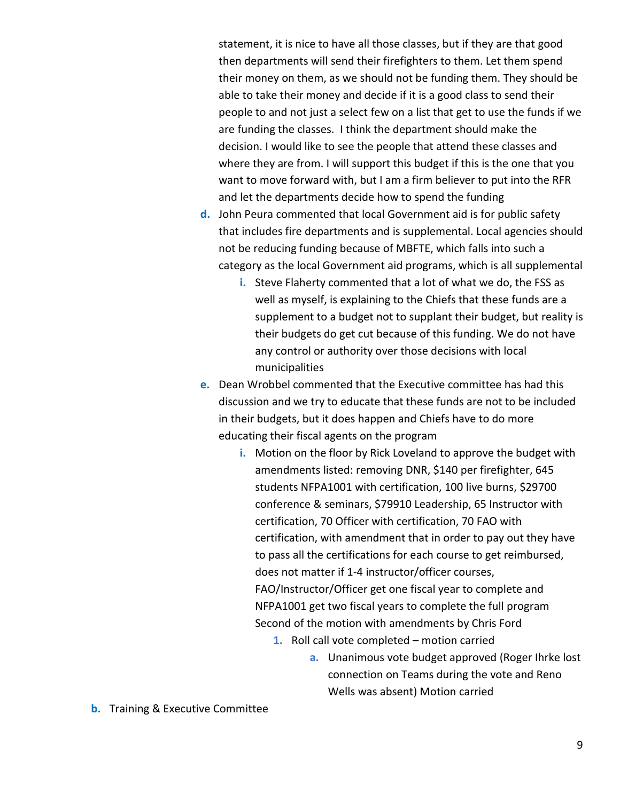statement, it is nice to have all those classes, but if they are that good then departments will send their firefighters to them. Let them spend their money on them, as we should not be funding them. They should be able to take their money and decide if it is a good class to send their people to and not just a select few on a list that get to use the funds if we are funding the classes. I think the department should make the decision. I would like to see the people that attend these classes and where they are from. I will support this budget if this is the one that you want to move forward with, but I am a firm believer to put into the RFR and let the departments decide how to spend the funding

- **d.** John Peura commented that local Government aid is for public safety that includes fire departments and is supplemental. Local agencies should not be reducing funding because of MBFTE, which falls into such a category as the local Government aid programs, which is all supplemental
	- **i.** Steve Flaherty commented that a lot of what we do, the FSS as well as myself, is explaining to the Chiefs that these funds are a supplement to a budget not to supplant their budget, but reality is their budgets do get cut because of this funding. We do not have any control or authority over those decisions with local municipalities
- **e.** Dean Wrobbel commented that the Executive committee has had this discussion and we try to educate that these funds are not to be included in their budgets, but it does happen and Chiefs have to do more educating their fiscal agents on the program
	- **i.** Motion on the floor by Rick Loveland to approve the budget with amendments listed: removing DNR, \$140 per firefighter, 645 students NFPA1001 with certification, 100 live burns, \$29700 conference & seminars, \$79910 Leadership, 65 Instructor with certification, 70 Officer with certification, 70 FAO with certification, with amendment that in order to pay out they have to pass all the certifications for each course to get reimbursed, does not matter if 1-4 instructor/officer courses, FAO/Instructor/Officer get one fiscal year to complete and NFPA1001 get two fiscal years to complete the full program Second of the motion with amendments by Chris Ford
		- **1.** Roll call vote completed motion carried
			- **a.** Unanimous vote budget approved (Roger Ihrke lost connection on Teams during the vote and Reno Wells was absent) Motion carried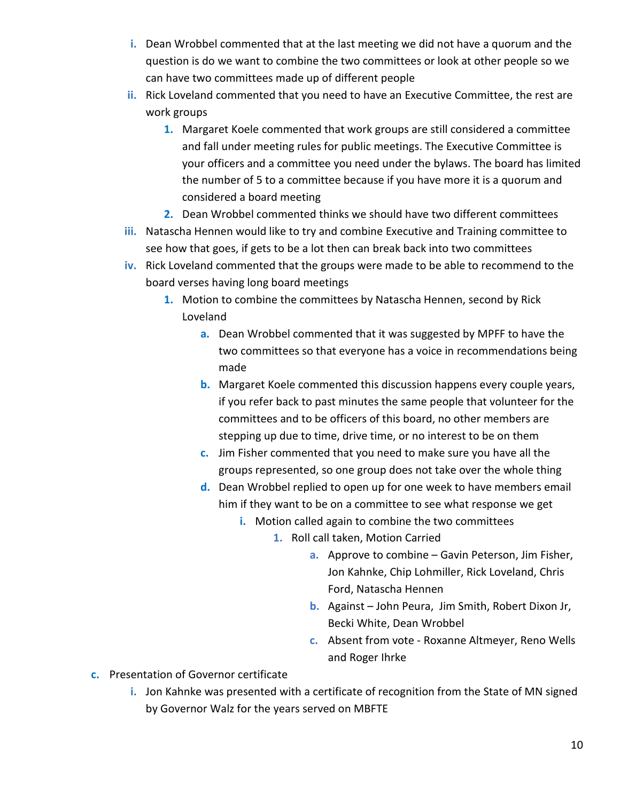- **i.** Dean Wrobbel commented that at the last meeting we did not have a quorum and the question is do we want to combine the two committees or look at other people so we can have two committees made up of different people
- **ii.** Rick Loveland commented that you need to have an Executive Committee, the rest are work groups
	- **1.** Margaret Koele commented that work groups are still considered a committee and fall under meeting rules for public meetings. The Executive Committee is your officers and a committee you need under the bylaws. The board has limited the number of 5 to a committee because if you have more it is a quorum and considered a board meeting
	- **2.** Dean Wrobbel commented thinks we should have two different committees
- **iii.** Natascha Hennen would like to try and combine Executive and Training committee to see how that goes, if gets to be a lot then can break back into two committees
- **iv.** Rick Loveland commented that the groups were made to be able to recommend to the board verses having long board meetings
	- **1.** Motion to combine the committees by Natascha Hennen, second by Rick Loveland
		- **a.** Dean Wrobbel commented that it was suggested by MPFF to have the two committees so that everyone has a voice in recommendations being made
		- **b.** Margaret Koele commented this discussion happens every couple years, if you refer back to past minutes the same people that volunteer for the committees and to be officers of this board, no other members are stepping up due to time, drive time, or no interest to be on them
		- **c.** Jim Fisher commented that you need to make sure you have all the groups represented, so one group does not take over the whole thing
		- **d.** Dean Wrobbel replied to open up for one week to have members email him if they want to be on a committee to see what response we get
			- **i.** Motion called again to combine the two committees
				- **1.** Roll call taken, Motion Carried
					- **a.** Approve to combine Gavin Peterson, Jim Fisher, Jon Kahnke, Chip Lohmiller, Rick Loveland, Chris Ford, Natascha Hennen
					- **b.** Against John Peura, Jim Smith, Robert Dixon Jr, Becki White, Dean Wrobbel
					- **c.** Absent from vote Roxanne Altmeyer, Reno Wells and Roger Ihrke
- **c.** Presentation of Governor certificate
	- **i.** Jon Kahnke was presented with a certificate of recognition from the State of MN signed by Governor Walz for the years served on MBFTE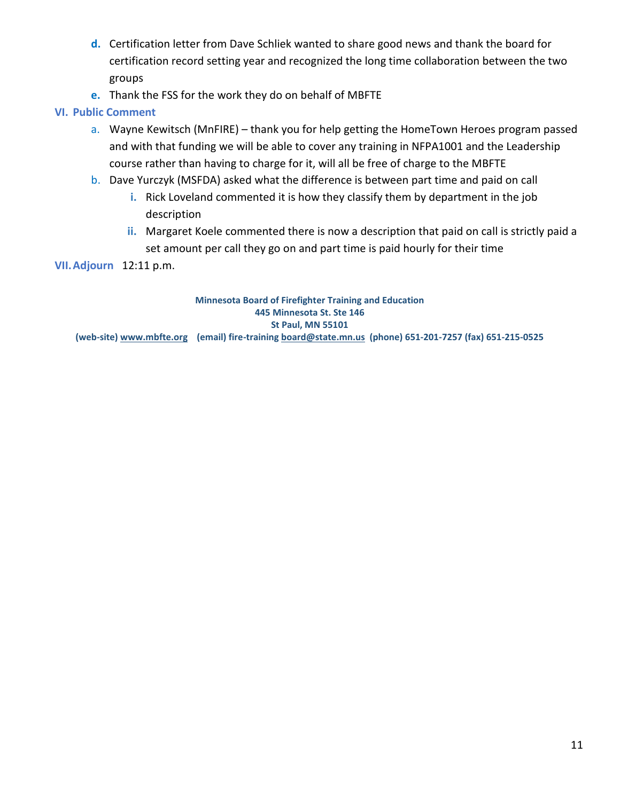- **d.** Certification letter from Dave Schliek wanted to share good news and thank the board for certification record setting year and recognized the long time collaboration between the two groups
- **e.** Thank the FSS for the work they do on behalf of MBFTE

# **VI. Public Comment**

- a. Wayne Kewitsch (MnFIRE) thank you for help getting the HomeTown Heroes program passed and with that funding we will be able to cover any training in NFPA1001 and the Leadership course rather than having to charge for it, will all be free of charge to the MBFTE
- b. Dave Yurczyk (MSFDA) asked what the difference is between part time and paid on call
	- **i.** Rick Loveland commented it is how they classify them by department in the job description
	- **ii.** Margaret Koele commented there is now a description that paid on call is strictly paid a set amount per call they go on and part time is paid hourly for their time

**VII.Adjourn** 12:11 p.m.

**Minnesota Board of Firefighter Training and Education 445 Minnesota St. Ste 146 St Paul, MN 55101 (web-site) [www.mbfte.org](http://www.mbfte.org/) (email) fire-training [board@state.mn.us](mailto:board@state.mn.us) (phone) 651-201-7257 (fax) 651-215-0525**